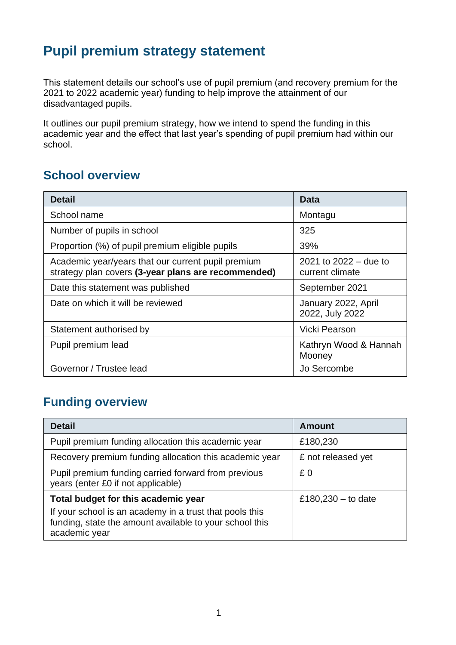# **Pupil premium strategy statement**

This statement details our school's use of pupil premium (and recovery premium for the 2021 to 2022 academic year) funding to help improve the attainment of our disadvantaged pupils.

It outlines our pupil premium strategy, how we intend to spend the funding in this academic year and the effect that last year's spending of pupil premium had within our school.

#### **School overview**

| <b>Detail</b>                                                                                             | Data                                       |
|-----------------------------------------------------------------------------------------------------------|--------------------------------------------|
| School name                                                                                               | Montagu                                    |
| Number of pupils in school                                                                                | 325                                        |
| Proportion (%) of pupil premium eligible pupils                                                           | 39%                                        |
| Academic year/years that our current pupil premium<br>strategy plan covers (3-year plans are recommended) | 2021 to $2022 -$ due to<br>current climate |
| Date this statement was published                                                                         | September 2021                             |
| Date on which it will be reviewed                                                                         | January 2022, April<br>2022, July 2022     |
| Statement authorised by                                                                                   | Vicki Pearson                              |
| Pupil premium lead                                                                                        | Kathryn Wood & Hannah<br>Mooney            |
| Governor / Trustee lead                                                                                   | Jo Sercombe                                |

### **Funding overview**

| <b>Detail</b>                                                                                                                       | <b>Amount</b>        |
|-------------------------------------------------------------------------------------------------------------------------------------|----------------------|
| Pupil premium funding allocation this academic year                                                                                 | £180,230             |
| Recovery premium funding allocation this academic year                                                                              | £ not released yet   |
| Pupil premium funding carried forward from previous<br>years (enter £0 if not applicable)                                           | £0                   |
| Total budget for this academic year                                                                                                 | £180,230 $-$ to date |
| If your school is an academy in a trust that pools this<br>funding, state the amount available to your school this<br>academic year |                      |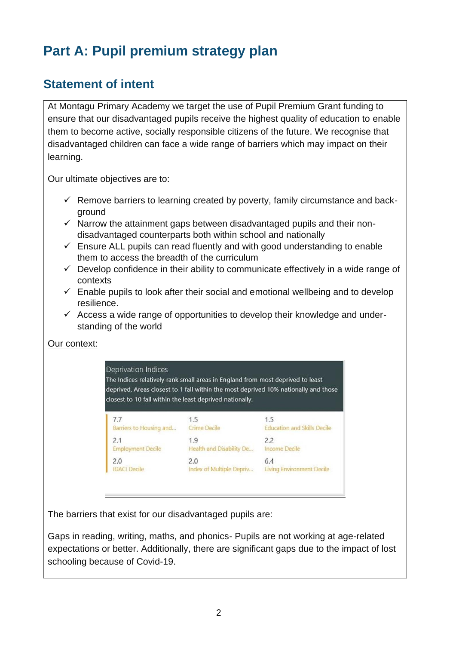# **Part A: Pupil premium strategy plan**

#### **Statement of intent**

At Montagu Primary Academy we target the use of Pupil Premium Grant funding to ensure that our disadvantaged pupils receive the highest quality of education to enable them to become active, socially responsible citizens of the future. We recognise that disadvantaged children can face a wide range of barriers which may impact on their learning.

Our ultimate objectives are to:

- $\checkmark$  Remove barriers to learning created by poverty, family circumstance and background
- $\checkmark$  Narrow the attainment gaps between disadvantaged pupils and their nondisadvantaged counterparts both within school and nationally
- $\checkmark$  Ensure ALL pupils can read fluently and with good understanding to enable them to access the breadth of the curriculum
- $\checkmark$  Develop confidence in their ability to communicate effectively in a wide range of contexts
- $\checkmark$  Enable pupils to look after their social and emotional wellbeing and to develop resilience.
- $\checkmark$  Access a wide range of opportunities to develop their knowledge and understanding of the world

#### Our context:

**Deprivation Indices** The Indices relatively rank small areas in England from most deprived to least deprived. Areas closest to 1 fall within the most deprived 10% nationally and those closest to 10 fall within the least deprived nationally.

| 7.7                      | 1.5                      | 1.5                                |
|--------------------------|--------------------------|------------------------------------|
| Barriers to Housing and  | Crime Decile             | <b>Education and Skills Decile</b> |
| 2.1                      | 1.9                      | 2.2                                |
| <b>Employment Decile</b> | Health and Disability De | Income Decile                      |
| 2.0                      | 2.0                      | 6.4                                |
| <b>IDACI Decile</b>      | Index of Multiple Depriv | Living Environment Decile          |

The barriers that exist for our disadvantaged pupils are:

Gaps in reading, writing, maths, and phonics- Pupils are not working at age-related expectations or better. Additionally, there are significant gaps due to the impact of lost schooling because of Covid-19.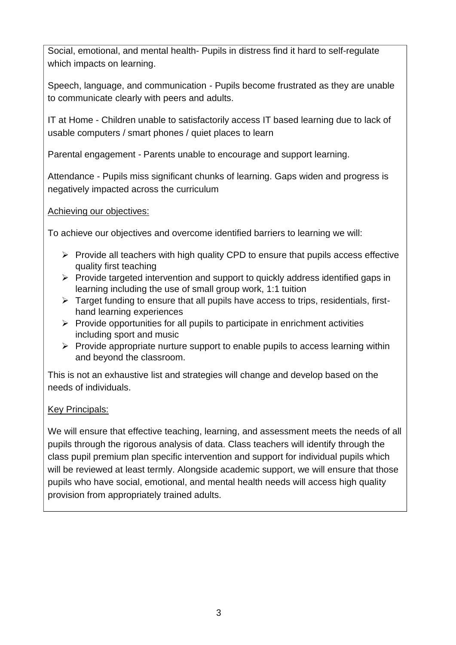Social, emotional, and mental health- Pupils in distress find it hard to self-regulate which impacts on learning.

Speech, language, and communication - Pupils become frustrated as they are unable to communicate clearly with peers and adults.

IT at Home - Children unable to satisfactorily access IT based learning due to lack of usable computers / smart phones / quiet places to learn

Parental engagement - Parents unable to encourage and support learning.

Attendance - Pupils miss significant chunks of learning. Gaps widen and progress is negatively impacted across the curriculum

Achieving our objectives:

To achieve our objectives and overcome identified barriers to learning we will:

- $\triangleright$  Provide all teachers with high quality CPD to ensure that pupils access effective quality first teaching
- ➢ Provide targeted intervention and support to quickly address identified gaps in learning including the use of small group work, 1:1 tuition
- ➢ Target funding to ensure that all pupils have access to trips, residentials, firsthand learning experiences
- $\triangleright$  Provide opportunities for all pupils to participate in enrichment activities including sport and music
- $\triangleright$  Provide appropriate nurture support to enable pupils to access learning within and beyond the classroom.

This is not an exhaustive list and strategies will change and develop based on the needs of individuals.

#### Key Principals:

We will ensure that effective teaching, learning, and assessment meets the needs of all pupils through the rigorous analysis of data. Class teachers will identify through the class pupil premium plan specific intervention and support for individual pupils which will be reviewed at least termly. Alongside academic support, we will ensure that those pupils who have social, emotional, and mental health needs will access high quality provision from appropriately trained adults.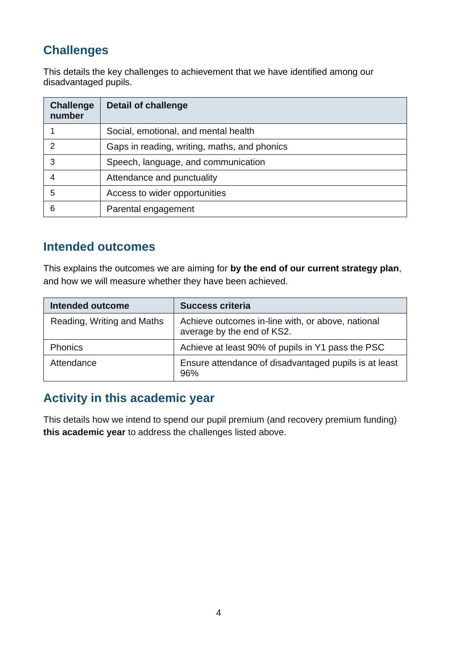## **Challenges**

This details the key challenges to achievement that we have identified among our disadvantaged pupils.

| <b>Challenge</b><br>number | <b>Detail of challenge</b>                   |
|----------------------------|----------------------------------------------|
|                            | Social, emotional, and mental health         |
| $\mathcal{P}$              | Gaps in reading, writing, maths, and phonics |
| 3                          | Speech, language, and communication          |
|                            | Attendance and punctuality                   |
| 5                          | Access to wider opportunities                |
| 6                          | Parental engagement                          |

#### **Intended outcomes**

This explains the outcomes we are aiming for **by the end of our current strategy plan**, and how we will measure whether they have been achieved.

| <b>Intended outcome</b>    | <b>Success criteria</b>                                                         |
|----------------------------|---------------------------------------------------------------------------------|
| Reading, Writing and Maths | Achieve outcomes in-line with, or above, national<br>average by the end of KS2. |
| <b>Phonics</b>             | Achieve at least 90% of pupils in Y1 pass the PSC                               |
| Attendance                 | Ensure attendance of disadvantaged pupils is at least<br>96%                    |

#### **Activity in this academic year**

This details how we intend to spend our pupil premium (and recovery premium funding) **this academic year** to address the challenges listed above.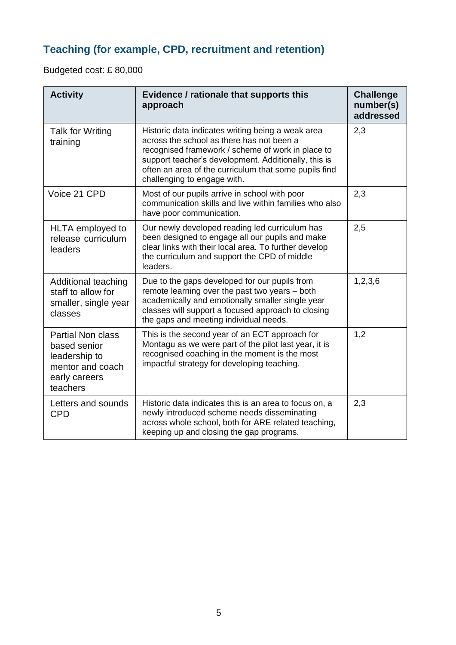## **Teaching (for example, CPD, recruitment and retention)**

Budgeted cost: £ 80,000

| <b>Activity</b>                                                                                            | Evidence / rationale that supports this<br>approach                                                                                                                                                                                                                                                 | <b>Challenge</b><br>number(s)<br>addressed |
|------------------------------------------------------------------------------------------------------------|-----------------------------------------------------------------------------------------------------------------------------------------------------------------------------------------------------------------------------------------------------------------------------------------------------|--------------------------------------------|
| <b>Talk for Writing</b><br>training                                                                        | Historic data indicates writing being a weak area<br>across the school as there has not been a<br>recognised framework / scheme of work in place to<br>support teacher's development. Additionally, this is<br>often an area of the curriculum that some pupils find<br>challenging to engage with. | 2,3                                        |
| Voice 21 CPD                                                                                               | Most of our pupils arrive in school with poor<br>communication skills and live within families who also<br>have poor communication.                                                                                                                                                                 | 2,3                                        |
| HLTA employed to<br>release curriculum<br>leaders                                                          | Our newly developed reading led curriculum has<br>been designed to engage all our pupils and make<br>clear links with their local area. To further develop<br>the curriculum and support the CPD of middle<br>leaders.                                                                              | 2,5                                        |
| Additional teaching<br>staff to allow for<br>smaller, single year<br>classes                               | Due to the gaps developed for our pupils from<br>remote learning over the past two years - both<br>academically and emotionally smaller single year<br>classes will support a focused approach to closing<br>the gaps and meeting individual needs.                                                 | 1, 2, 3, 6                                 |
| <b>Partial Non class</b><br>based senior<br>leadership to<br>mentor and coach<br>early careers<br>teachers | This is the second year of an ECT approach for<br>Montagu as we were part of the pilot last year, it is<br>recognised coaching in the moment is the most<br>impactful strategy for developing teaching.                                                                                             | 1,2                                        |
| Letters and sounds<br><b>CPD</b>                                                                           | Historic data indicates this is an area to focus on, a<br>newly introduced scheme needs disseminating<br>across whole school, both for ARE related teaching,<br>keeping up and closing the gap programs.                                                                                            | 2,3                                        |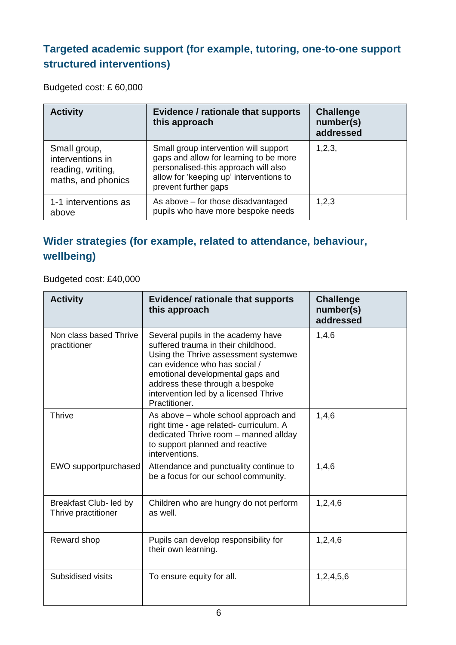### **Targeted academic support (for example, tutoring, one-to-one support structured interventions)**

Budgeted cost: £ 60,000

| <b>Activity</b>                                                             | Evidence / rationale that supports<br>this approach                                                                                                                                        | <b>Challenge</b><br>number(s)<br>addressed |
|-----------------------------------------------------------------------------|--------------------------------------------------------------------------------------------------------------------------------------------------------------------------------------------|--------------------------------------------|
| Small group,<br>interventions in<br>reading, writing,<br>maths, and phonics | Small group intervention will support<br>gaps and allow for learning to be more<br>personalised-this approach will also<br>allow for 'keeping up' interventions to<br>prevent further gaps | 1, 2, 3,                                   |
| 1-1 interventions as<br>above                                               | As above – for those disadvantaged<br>pupils who have more bespoke needs                                                                                                                   | 1,2,3                                      |

#### **Wider strategies (for example, related to attendance, behaviour, wellbeing)**

Budgeted cost: £40,000

| <b>Activity</b>                               | <b>Evidence/ rationale that supports</b><br>this approach                                                                                                                                                                                                                           | <b>Challenge</b><br>number(s)<br>addressed |
|-----------------------------------------------|-------------------------------------------------------------------------------------------------------------------------------------------------------------------------------------------------------------------------------------------------------------------------------------|--------------------------------------------|
| Non class based Thrive<br>practitioner        | Several pupils in the academy have<br>suffered trauma in their childhood.<br>Using the Thrive assessment systemwe<br>can evidence who has social /<br>emotional developmental gaps and<br>address these through a bespoke<br>intervention led by a licensed Thrive<br>Practitioner. | 1,4,6                                      |
| <b>Thrive</b>                                 | As above – whole school approach and<br>right time - age related- curriculum. A<br>dedicated Thrive room - manned allday<br>to support planned and reactive<br>interventions.                                                                                                       | 1,4,6                                      |
| EWO supportpurchased                          | Attendance and punctuality continue to<br>be a focus for our school community.                                                                                                                                                                                                      | 1,4,6                                      |
| Breakfast Club- led by<br>Thrive practitioner | Children who are hungry do not perform<br>as well.                                                                                                                                                                                                                                  | 1,2,4,6                                    |
| Reward shop                                   | Pupils can develop responsibility for<br>their own learning.                                                                                                                                                                                                                        | 1,2,4,6                                    |
| Subsidised visits                             | To ensure equity for all.                                                                                                                                                                                                                                                           | 1,2,4,5,6                                  |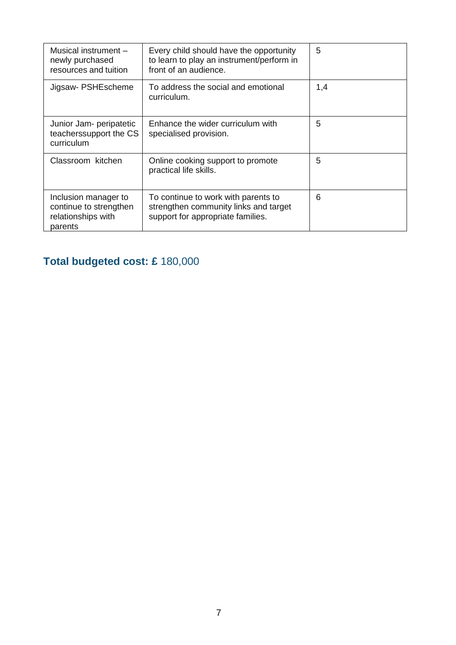| Musical instrument -<br>newly purchased<br>resources and tuition                | Every child should have the opportunity<br>to learn to play an instrument/perform in<br>front of an audience.     | 5   |
|---------------------------------------------------------------------------------|-------------------------------------------------------------------------------------------------------------------|-----|
| Jigsaw- PSHEscheme                                                              | To address the social and emotional<br>curriculum.                                                                | 1,4 |
| Junior Jam- peripatetic<br>teachers support the CS<br>curriculum                | Enhance the wider curriculum with<br>specialised provision.                                                       | 5   |
| Classroom kitchen                                                               | Online cooking support to promote<br>practical life skills.                                                       | 5   |
| Inclusion manager to<br>continue to strengthen<br>relationships with<br>parents | To continue to work with parents to<br>strengthen community links and target<br>support for appropriate families. | 6   |

## **Total budgeted cost: £** 180,000